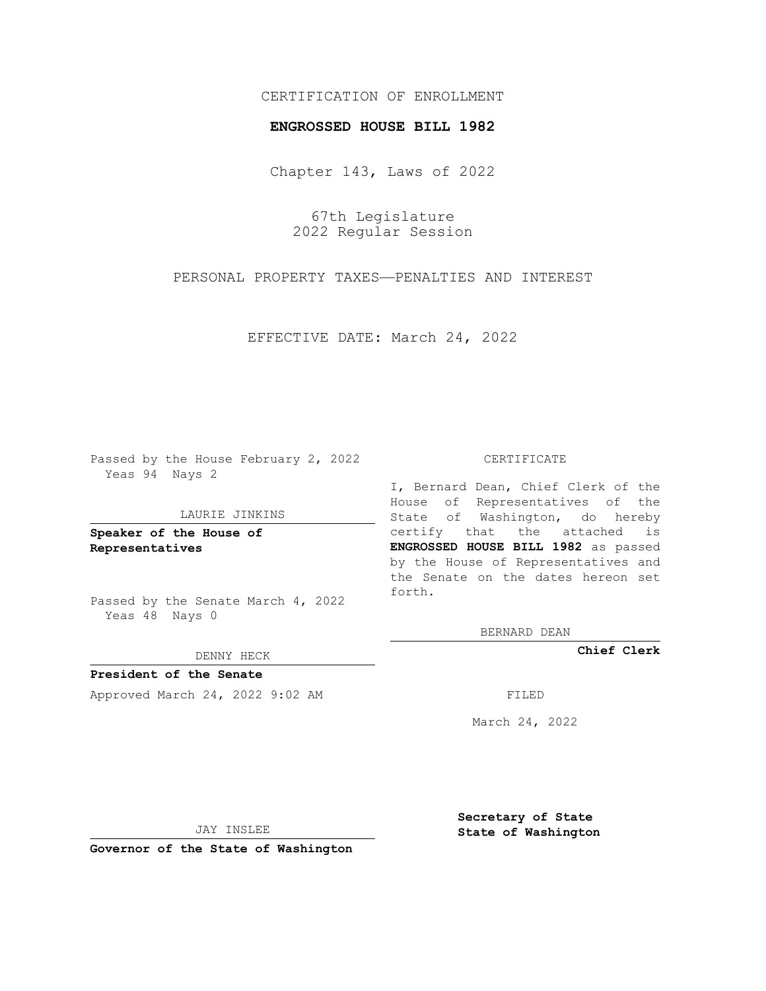#### CERTIFICATION OF ENROLLMENT

#### **ENGROSSED HOUSE BILL 1982**

Chapter 143, Laws of 2022

67th Legislature 2022 Regular Session

PERSONAL PROPERTY TAXES—PENALTIES AND INTEREST

EFFECTIVE DATE: March 24, 2022

Passed by the House February 2, 2022 Yeas 94 Nays 2

#### LAURIE JINKINS

**Speaker of the House of Representatives**

Passed by the Senate March 4, 2022 Yeas 48 Nays 0

#### DENNY HECK

**President of the Senate** Approved March 24, 2022 9:02 AM FILED

#### CERTIFICATE

I, Bernard Dean, Chief Clerk of the House of Representatives of the State of Washington, do hereby certify that the attached is **ENGROSSED HOUSE BILL 1982** as passed by the House of Representatives and the Senate on the dates hereon set forth.

BERNARD DEAN

**Chief Clerk**

March 24, 2022

JAY INSLEE

**Governor of the State of Washington**

**Secretary of State State of Washington**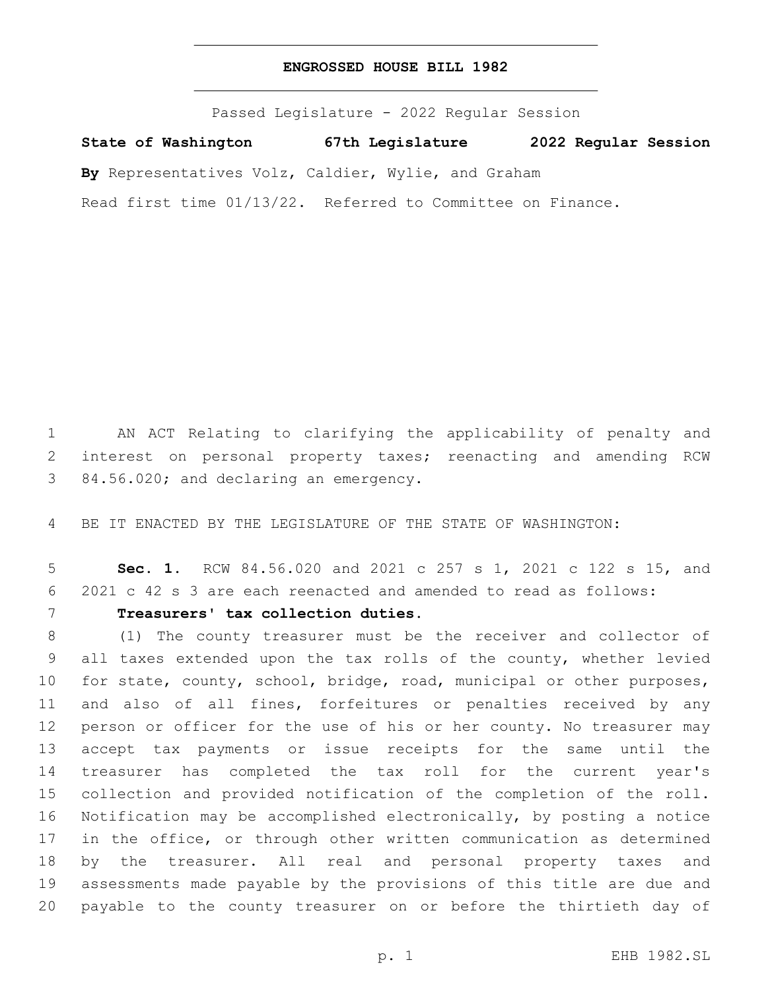#### **ENGROSSED HOUSE BILL 1982**

Passed Legislature - 2022 Regular Session

**State of Washington 67th Legislature 2022 Regular Session**

**By** Representatives Volz, Caldier, Wylie, and Graham

Read first time 01/13/22. Referred to Committee on Finance.

 AN ACT Relating to clarifying the applicability of penalty and interest on personal property taxes; reenacting and amending RCW 84.56.020; and declaring an emergency.

BE IT ENACTED BY THE LEGISLATURE OF THE STATE OF WASHINGTON:

 **Sec. 1.** RCW 84.56.020 and 2021 c 257 s 1, 2021 c 122 s 15, and 2021 c 42 s 3 are each reenacted and amended to read as follows:

**Treasurers' tax collection duties.**

 (1) The county treasurer must be the receiver and collector of all taxes extended upon the tax rolls of the county, whether levied for state, county, school, bridge, road, municipal or other purposes, and also of all fines, forfeitures or penalties received by any person or officer for the use of his or her county. No treasurer may accept tax payments or issue receipts for the same until the treasurer has completed the tax roll for the current year's collection and provided notification of the completion of the roll. Notification may be accomplished electronically, by posting a notice in the office, or through other written communication as determined by the treasurer. All real and personal property taxes and assessments made payable by the provisions of this title are due and payable to the county treasurer on or before the thirtieth day of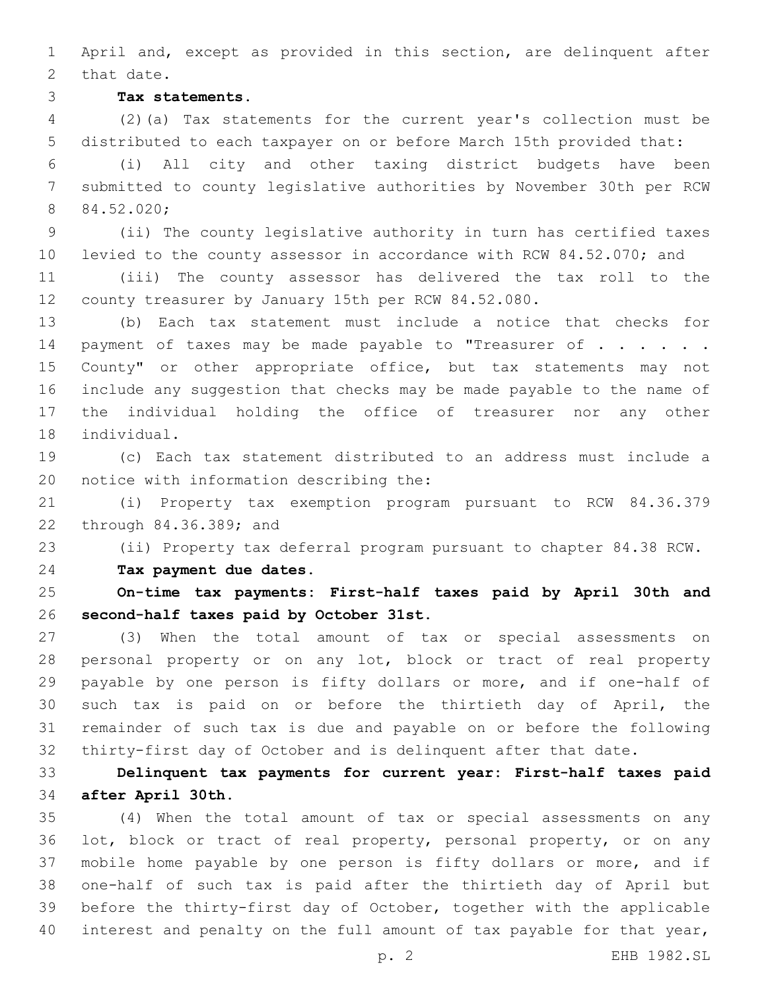April and, except as provided in this section, are delinquent after 2 that date.

**Tax statements.**

 (2)(a) Tax statements for the current year's collection must be distributed to each taxpayer on or before March 15th provided that:

 (i) All city and other taxing district budgets have been submitted to county legislative authorities by November 30th per RCW 84.52.020;

 (ii) The county legislative authority in turn has certified taxes levied to the county assessor in accordance with RCW 84.52.070; and

 (iii) The county assessor has delivered the tax roll to the county treasurer by January 15th per RCW 84.52.080.

 (b) Each tax statement must include a notice that checks for 14 payment of taxes may be made payable to "Treasurer of . . . . . . 15 County" or other appropriate office, but tax statements may not include any suggestion that checks may be made payable to the name of the individual holding the office of treasurer nor any other 18 individual.

 (c) Each tax statement distributed to an address must include a 20 notice with information describing the:

 (i) Property tax exemption program pursuant to RCW 84.36.379 22 through 84.36.389; and

(ii) Property tax deferral program pursuant to chapter 84.38 RCW.

**Tax payment due dates.**

 **On-time tax payments: First-half taxes paid by April 30th and second-half taxes paid by October 31st.**

 (3) When the total amount of tax or special assessments on personal property or on any lot, block or tract of real property payable by one person is fifty dollars or more, and if one-half of such tax is paid on or before the thirtieth day of April, the remainder of such tax is due and payable on or before the following thirty-first day of October and is delinquent after that date.

 **Delinquent tax payments for current year: First-half taxes paid after April 30th.**

 (4) When the total amount of tax or special assessments on any lot, block or tract of real property, personal property, or on any mobile home payable by one person is fifty dollars or more, and if one-half of such tax is paid after the thirtieth day of April but before the thirty-first day of October, together with the applicable interest and penalty on the full amount of tax payable for that year,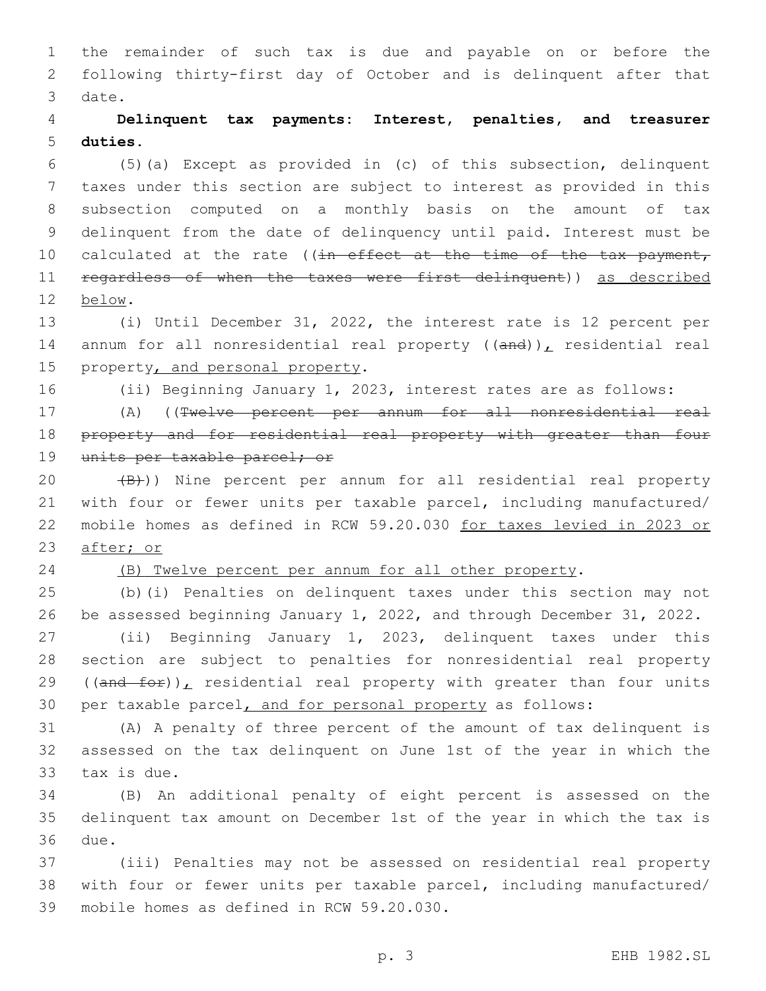the remainder of such tax is due and payable on or before the following thirty-first day of October and is delinquent after that 3 date.

# **Delinquent tax payments: Interest, penalties, and treasurer duties.**

 (5)(a) Except as provided in (c) of this subsection, delinquent taxes under this section are subject to interest as provided in this subsection computed on a monthly basis on the amount of tax delinquent from the date of delinquency until paid. Interest must be 10 calculated at the rate ((in effect at the time of the tax payment, 11 regardless of when the taxes were first delinquent)) as described below.12

 (i) Until December 31, 2022, the interest rate is 12 percent per 14 annum for all nonresidential real property  $((and))_L$  residential real 15 property, and personal property.

(ii) Beginning January 1, 2023, interest rates are as follows:

 (A) ((Twelve percent per annum for all nonresidential real 18 property and for residential real property with greater than four 19 units per taxable parcel; or

 $(B)$ )) Nine percent per annum for all residential real property with four or fewer units per taxable parcel, including manufactured/ mobile homes as defined in RCW 59.20.030 for taxes levied in 2023 or after; or

#### (B) Twelve percent per annum for all other property.

 (b)(i) Penalties on delinquent taxes under this section may not be assessed beginning January 1, 2022, and through December 31, 2022.

 (ii) Beginning January 1, 2023, delinquent taxes under this section are subject to penalties for nonresidential real property 29 ( $(\text{and }$ for)), residential real property with greater than four units per taxable parcel, and for personal property as follows:

 (A) A penalty of three percent of the amount of tax delinquent is assessed on the tax delinquent on June 1st of the year in which the 33 tax is due.

 (B) An additional penalty of eight percent is assessed on the delinquent tax amount on December 1st of the year in which the tax is 36 due.

 (iii) Penalties may not be assessed on residential real property with four or fewer units per taxable parcel, including manufactured/ 39 mobile homes as defined in RCW 59.20.030.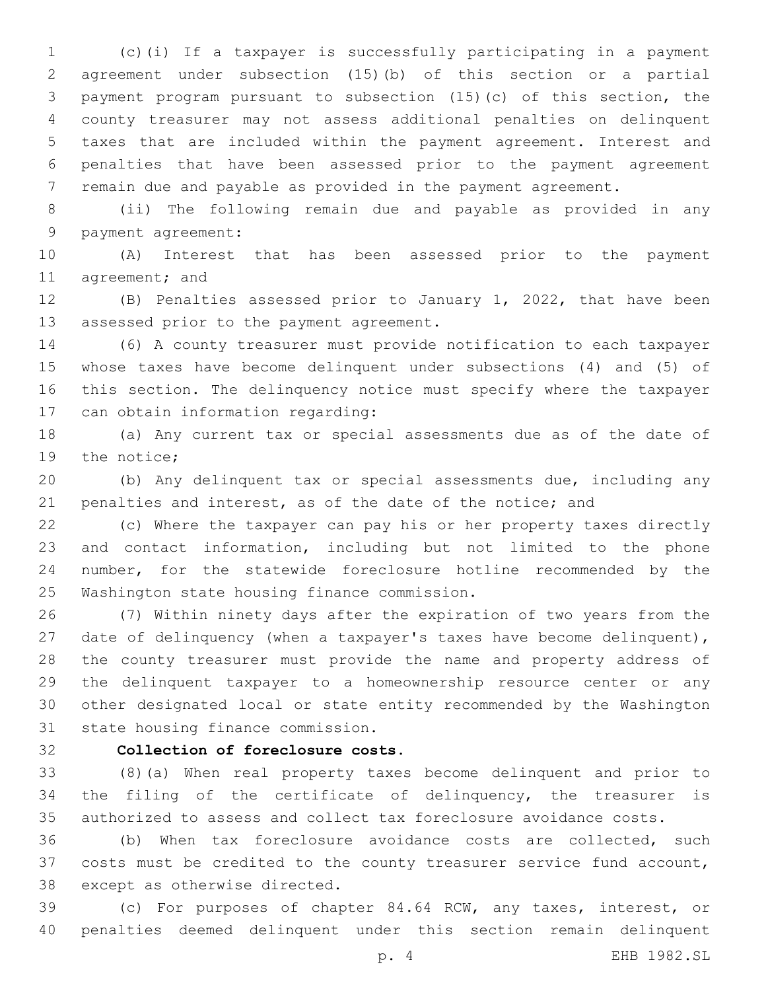(c)(i) If a taxpayer is successfully participating in a payment agreement under subsection (15)(b) of this section or a partial payment program pursuant to subsection (15)(c) of this section, the county treasurer may not assess additional penalties on delinquent taxes that are included within the payment agreement. Interest and penalties that have been assessed prior to the payment agreement remain due and payable as provided in the payment agreement.

 (ii) The following remain due and payable as provided in any 9 payment agreement:

 (A) Interest that has been assessed prior to the payment 11 agreement; and

 (B) Penalties assessed prior to January 1, 2022, that have been 13 assessed prior to the payment agreement.

 (6) A county treasurer must provide notification to each taxpayer whose taxes have become delinquent under subsections (4) and (5) of this section. The delinquency notice must specify where the taxpayer 17 can obtain information regarding:

 (a) Any current tax or special assessments due as of the date of 19 the notice;

 (b) Any delinquent tax or special assessments due, including any 21 penalties and interest, as of the date of the notice; and

 (c) Where the taxpayer can pay his or her property taxes directly and contact information, including but not limited to the phone number, for the statewide foreclosure hotline recommended by the 25 Washington state housing finance commission.

 (7) Within ninety days after the expiration of two years from the date of delinquency (when a taxpayer's taxes have become delinquent), the county treasurer must provide the name and property address of the delinquent taxpayer to a homeownership resource center or any other designated local or state entity recommended by the Washington 31 state housing finance commission.

## **Collection of foreclosure costs.**

 (8)(a) When real property taxes become delinquent and prior to the filing of the certificate of delinquency, the treasurer is authorized to assess and collect tax foreclosure avoidance costs.

 (b) When tax foreclosure avoidance costs are collected, such costs must be credited to the county treasurer service fund account, 38 except as otherwise directed.

 (c) For purposes of chapter 84.64 RCW, any taxes, interest, or penalties deemed delinquent under this section remain delinquent

p. 4 EHB 1982.SL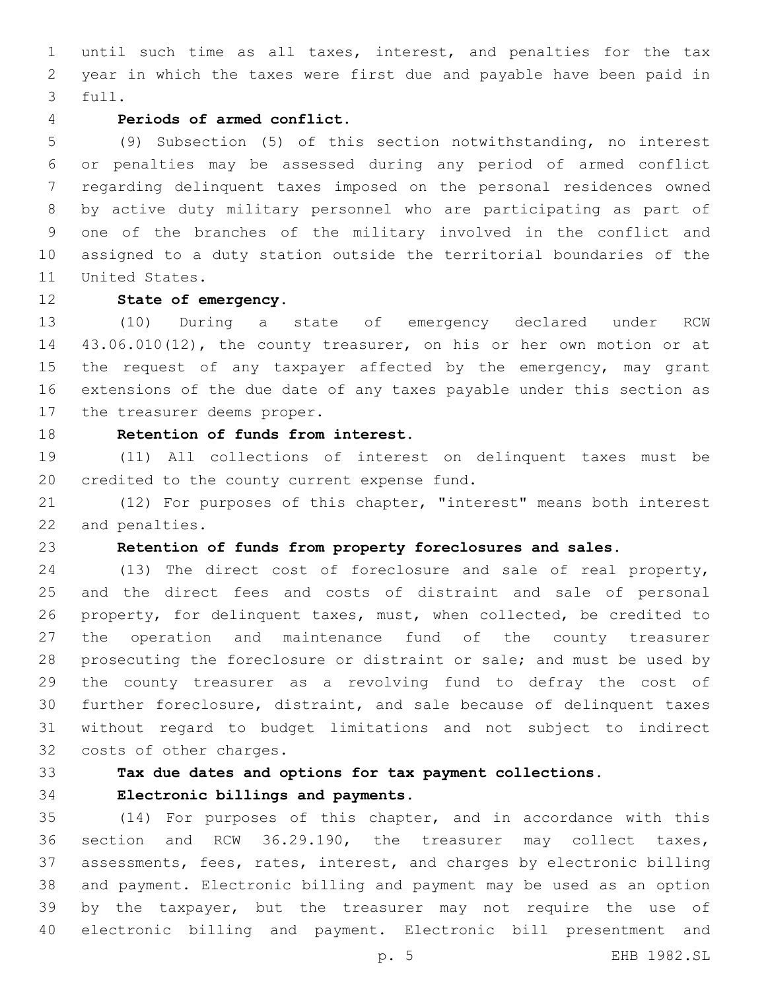until such time as all taxes, interest, and penalties for the tax year in which the taxes were first due and payable have been paid in 3 full.

#### **Periods of armed conflict.**

 (9) Subsection (5) of this section notwithstanding, no interest or penalties may be assessed during any period of armed conflict regarding delinquent taxes imposed on the personal residences owned by active duty military personnel who are participating as part of one of the branches of the military involved in the conflict and assigned to a duty station outside the territorial boundaries of the 11 United States.

#### **State of emergency.**

 (10) During a state of emergency declared under RCW 43.06.010(12), the county treasurer, on his or her own motion or at the request of any taxpayer affected by the emergency, may grant extensions of the due date of any taxes payable under this section as 17 the treasurer deems proper.

## **Retention of funds from interest.**

 (11) All collections of interest on delinquent taxes must be 20 credited to the county current expense fund.

 (12) For purposes of this chapter, "interest" means both interest 22 and penalties.

## **Retention of funds from property foreclosures and sales.**

 (13) The direct cost of foreclosure and sale of real property, and the direct fees and costs of distraint and sale of personal property, for delinquent taxes, must, when collected, be credited to the operation and maintenance fund of the county treasurer 28 prosecuting the foreclosure or distraint or sale; and must be used by the county treasurer as a revolving fund to defray the cost of further foreclosure, distraint, and sale because of delinquent taxes without regard to budget limitations and not subject to indirect 32 costs of other charges.

## **Tax due dates and options for tax payment collections.**

**Electronic billings and payments.**

 (14) For purposes of this chapter, and in accordance with this section and RCW 36.29.190, the treasurer may collect taxes, assessments, fees, rates, interest, and charges by electronic billing and payment. Electronic billing and payment may be used as an option by the taxpayer, but the treasurer may not require the use of electronic billing and payment. Electronic bill presentment and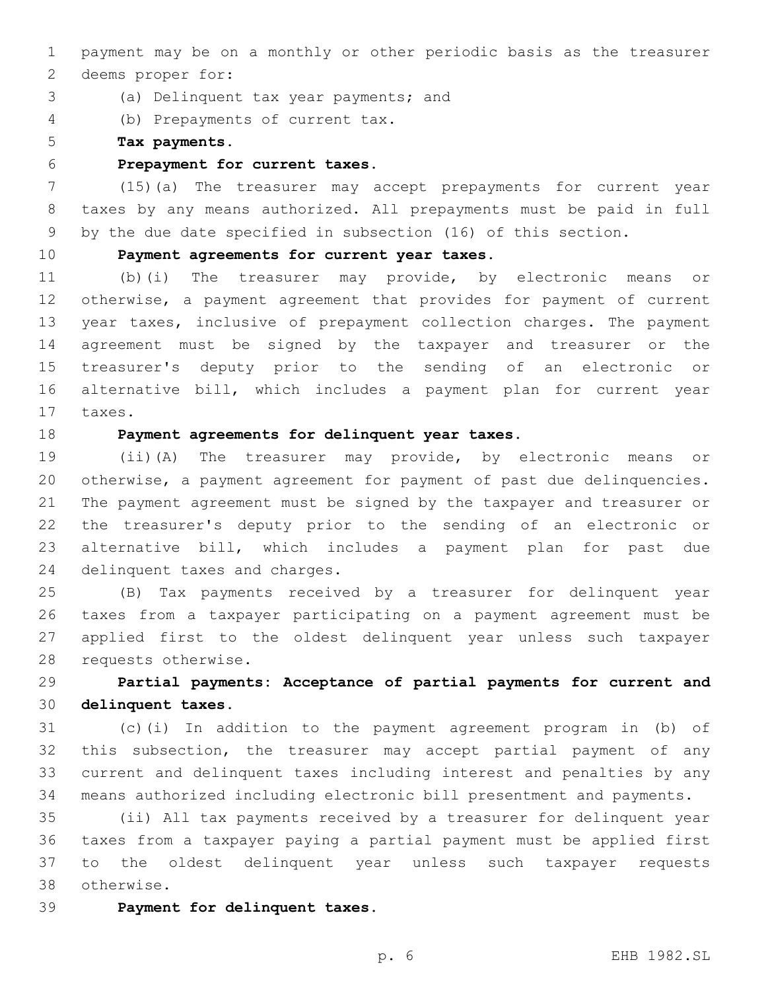payment may be on a monthly or other periodic basis as the treasurer 2 deems proper for:

- 3 (a) Delinquent tax year payments; and
- (b) Prepayments of current tax.4

**Tax payments.**

**Prepayment for current taxes.**

 (15)(a) The treasurer may accept prepayments for current year taxes by any means authorized. All prepayments must be paid in full by the due date specified in subsection (16) of this section.

#### **Payment agreements for current year taxes.**

 (b)(i) The treasurer may provide, by electronic means or otherwise, a payment agreement that provides for payment of current year taxes, inclusive of prepayment collection charges. The payment agreement must be signed by the taxpayer and treasurer or the treasurer's deputy prior to the sending of an electronic or alternative bill, which includes a payment plan for current year 17 taxes.

**Payment agreements for delinquent year taxes.**

 (ii)(A) The treasurer may provide, by electronic means or otherwise, a payment agreement for payment of past due delinquencies. The payment agreement must be signed by the taxpayer and treasurer or the treasurer's deputy prior to the sending of an electronic or alternative bill, which includes a payment plan for past due 24 delinquent taxes and charges.

 (B) Tax payments received by a treasurer for delinquent year taxes from a taxpayer participating on a payment agreement must be applied first to the oldest delinquent year unless such taxpayer 28 requests otherwise.

 **Partial payments: Acceptance of partial payments for current and delinquent taxes.**

 (c)(i) In addition to the payment agreement program in (b) of this subsection, the treasurer may accept partial payment of any current and delinquent taxes including interest and penalties by any means authorized including electronic bill presentment and payments.

 (ii) All tax payments received by a treasurer for delinquent year taxes from a taxpayer paying a partial payment must be applied first to the oldest delinquent year unless such taxpayer requests otherwise.38

**Payment for delinquent taxes.**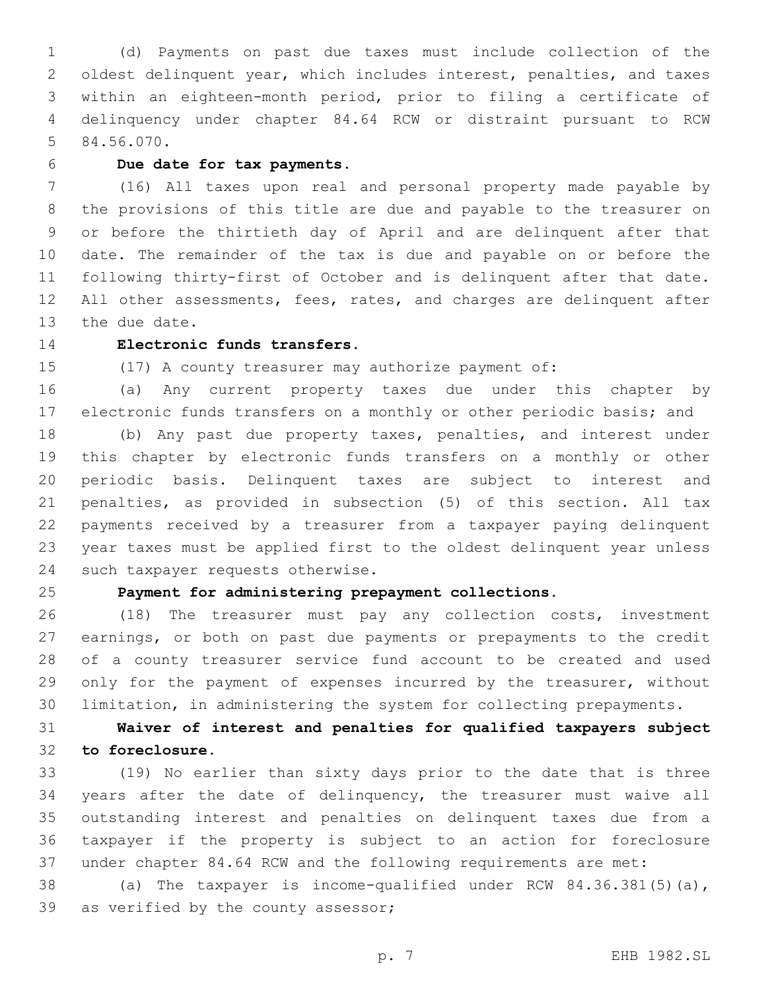(d) Payments on past due taxes must include collection of the oldest delinquent year, which includes interest, penalties, and taxes within an eighteen-month period, prior to filing a certificate of delinquency under chapter 84.64 RCW or distraint pursuant to RCW 5 84.56.070.

## **Due date for tax payments.**

 (16) All taxes upon real and personal property made payable by the provisions of this title are due and payable to the treasurer on or before the thirtieth day of April and are delinquent after that date. The remainder of the tax is due and payable on or before the following thirty-first of October and is delinquent after that date. 12 All other assessments, fees, rates, and charges are delinquent after 13 the due date.

# **Electronic funds transfers.**

(17) A county treasurer may authorize payment of:

 (a) Any current property taxes due under this chapter by electronic funds transfers on a monthly or other periodic basis; and

 (b) Any past due property taxes, penalties, and interest under this chapter by electronic funds transfers on a monthly or other periodic basis. Delinquent taxes are subject to interest and penalties, as provided in subsection (5) of this section. All tax payments received by a treasurer from a taxpayer paying delinquent year taxes must be applied first to the oldest delinquent year unless 24 such taxpayer requests otherwise.

# **Payment for administering prepayment collections.**

 (18) The treasurer must pay any collection costs, investment earnings, or both on past due payments or prepayments to the credit of a county treasurer service fund account to be created and used only for the payment of expenses incurred by the treasurer, without limitation, in administering the system for collecting prepayments.

# **Waiver of interest and penalties for qualified taxpayers subject to foreclosure.**

 (19) No earlier than sixty days prior to the date that is three years after the date of delinquency, the treasurer must waive all outstanding interest and penalties on delinquent taxes due from a taxpayer if the property is subject to an action for foreclosure under chapter 84.64 RCW and the following requirements are met:

 (a) The taxpayer is income-qualified under RCW 84.36.381(5)(a), 39 as verified by the county assessor;